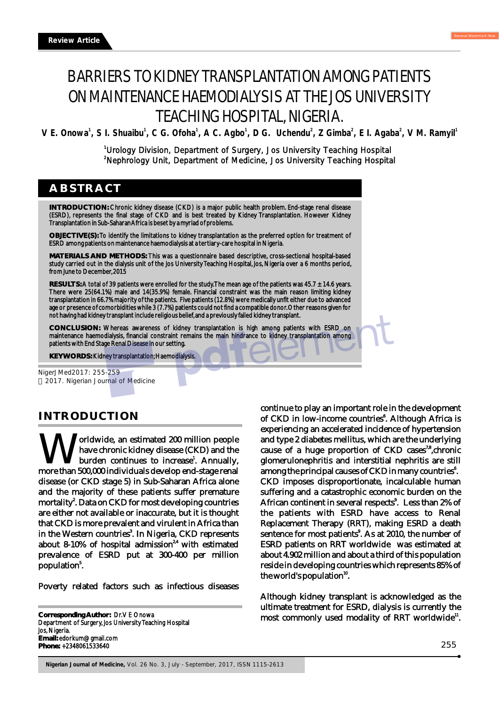# BARRIERS TO KIDNEY TRANSPLANTATION AMONG PATIENTS ON MAINTENANCE HAEMODIALYSIS AT THE JOS UNIVERSITY TEACHING HOSPITAL, NIGERIA.

V E. Onowa<sup>1</sup>, S I. Shuaibu<sup>1</sup>, C G. Ofoha<sup>1</sup>, A C. Agbo<sup>1</sup>, D G. Uchendu<sup>2</sup>, Z Gimba<sup>2</sup>, E I. Agaba<sup>2</sup>, V M. Ramyil<sup>1</sup>

<sup>1</sup>Urology Division, Department of Surgery, Jos University Teaching Hospital <sup>2</sup>Nephrology Unit, Department of Medicine, Jos University Teaching Hospital

# **ABSTRACT**

**INTRODUCTION:** Chronic kidney disease (CKD) is a major public health problem. End-stage renal disease (ESRD), represents the final stage of CKD and is best treated by Kidney Transplantation. However Kidney Transplantation in Sub-Saharan Africa is beset by a myriad of problems.

**OBJECTIVE(S):** To identify the limitations to kidney transplantation as the preferred option for treatment of ESRD among patients on maintenance haemodialysis at a tertiary-care hospital in Nigeria.

**MATERIALS AND METHODS:** This was a questionnaire based descriptive, cross-sectional hospital-based study carried out in the dialysis unit of the Jos University Teaching Hospital, Jos, Nigeria over a 6 months period, from June to December, 2015

**RESULTS:** A total of 39 patients were enrolled for the study. The mean age of the patients was 45.7 ± 14.6 years. There were 25(64.1%) male and 14(35.9%) female. Financial constraint was the main reason limiting kidney transplantation in 66.7% majority of the patients. Five patients (12.8%) were medically unfit either due to advanced age or presence of comorbidities while 3 (7.7%) patients could not find a compatible donor. Other reasons given for not having had kidney transplant include religious belief, and a previously failed kidney transplant.

**CONCLUSION:** Whereas awareness of kidney transplantation is high among patients with ESRD on maintenance haemodialysis, financial constraint remains the main hindrance to kidney transplantation among patients with End Stage Renal Disease in our setting.

**KEYWORDS:** Kidney transplantation; Haemodialysis.

NigerJMed2017: 255-259 2017. Nigerian Journal of Medicine

# **INTRODUCTION**

orldwide, an estimated 200 million people have chronic kidney disease (CKD) and the **V** orldwide, an estimated 200 million people have chronic kidney disease (CKD) and the burden continues to increase<sup>1</sup>. Annually, more than 500,000 individuals develop end-stage renal disease (or CKD stage 5) in Sub-Saharan Africa alone and the majority of these patients suffer premature mortality<sup>2</sup>. Data on CKD for most developing countries are either not available or inaccurate, but it is thought that CKD is more prevalent and virulent in Africa than in the Western countries<sup>3</sup>. In Nigeria, CKD represents about 8-10% of hospital admission<sup>24</sup> with estimated prevalence of ESRD put at 300-400 per million population<sup>5</sup>.

Poverty related factors such as infectious diseases

**Corresponding Author:** Dr. V E Onowa Department of Surgery, Jos University Teaching Hospital Jos, Nigeria. **Email:** edorkum@gmail.com **Phone:** +2348061533640

continue to play an important role in the development of CKD in low-income countries<sup>8</sup>. Although Africa is experiencing an accelerated incidence of hypertension and type 2 diabetes mellitus, which are the underlying cause of a huge proportion of CKD cases<sup>7,8</sup>, chronic glomerulonephritis and interstitial nephritis are still among the principal causes of CKD in many countries<sup>8</sup>. CKD imposes disproportionate, incalculable human suffering and a catastrophic economic burden on the African continent in several respects<sup>9</sup>. Less than 2% of the patients with ESRD have access to Renal Replacement Therapy (RRT), making ESRD a death sentence for most patients<sup>9</sup>. As at 2010, the number of ESRD patients on RRT worldwide was estimated at about 4.902 million and about a third of this population reside in developing countries which represents 85% of the world's population $10$ .

Although kidney transplant is acknowledged as the ultimate treatment for ESRD, dialysis is currently the most commonly used modality of RRT worldwide<sup>11</sup>.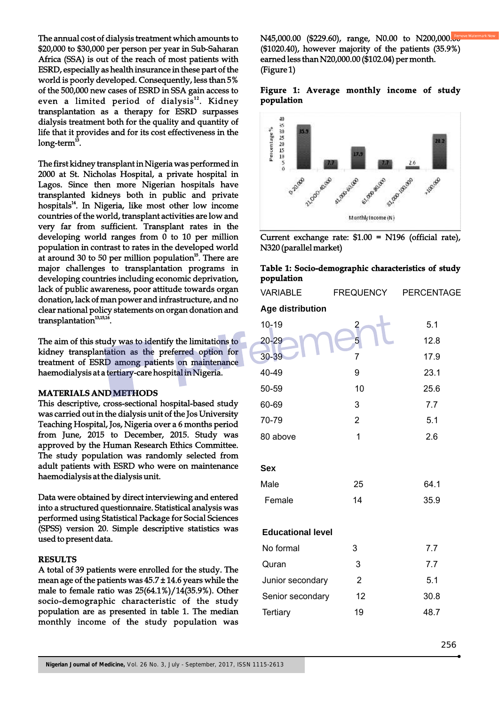The annual cost of dialysis treatment which amounts to \$20,000 to \$30,000 per person per year in Sub-Saharan Africa (SSA) is out of the reach of most patients with ESRD, especially as health insurance in these part of the world is poorly developed. Consequently, less than 5% of the 500,000 new cases of ESRD in SSA gain access to even a limited period of dialysis<sup>12</sup>. Kidney transplantation as a therapy for ESRD surpasses dialysis treatment both for the quality and quantity of life that it provides and for its cost effectiveness in the  $long-term<sup>13</sup>$ .

The first kidney transplant in Nigeria was performed in 2000 at St. Nicholas Hospital, a private hospital in Lagos. Since then more Nigerian hospitals have transplanted kidneys both in public and private hospitals<sup>14</sup>. In Nigeria, like most other low income countries of the world, transplant activities are low and very far from sufficient. Transplant rates in the developing world ranges from 0 to 10 per million population in contrast to rates in the developed world at around 30 to 50 per million population<sup>15</sup>. There are major challenges to transplantation programs in developing countries including economic deprivation, lack of public awareness, poor attitude towards organ donation, lack of man power and infrastructure, and no clear national policy statements on organ donation and transplantation<sup>13,15,16</sup>

The aim of this study was to identify the limitations to kidney transplantation as the preferred option for treatment of ESRD among patients on maintenance haemodialysis at a tertiary-care hospital in Nigeria.

#### **MATERIALS AND METHODS**

This descriptive, cross-sectional hospital-based study was carried out in the dialysis unit of the Jos University Teaching Hospital, Jos, Nigeria over a 6 months period from June, 2015 to December, 2015. Study was approved by the Human Research Ethics Committee. The study population was randomly selected from adult patients with ESRD who were on maintenance haemodialysis at the dialysis unit.

Data were obtained by direct interviewing and entered into a structured questionnaire. Statistical analysis was performed using Statistical Package for Social Sciences (SPSS) version 20. Simple descriptive statistics was used to present data.

#### **RESULTS**

A total of 39 patients were enrolled for the study. The mean age of the patients was 45.7 ± 14.6 years while the male to female ratio was 25(64.1%)/14(35.9%). Other socio-demographic characteristic of the study population are as presented in table 1. The median monthly income of the study population was N45,000.00 (\$229.60), range, N0.00 to N200,000.80 (\$1020.40), however majority of the patients (35.9%) earned less than N20,000.00 (\$102.04) per month. (Figure 1)

# **Figure 1: Average monthly income of study population**



Current exchange rate: \$1.00 = N196 (official rate), N320 (parallel market)

### **Table 1: Socio-demographic characteristics of study population**

| <b>VARIABLE</b>          | <b>FREQUENCY</b>        | <b>PERCENTAGE</b> |
|--------------------------|-------------------------|-------------------|
| Age distribution         |                         |                   |
| $10 - 19$                | $\overline{\mathbf{c}}$ | 5.1               |
| $20 - 29$                | 5                       | 12.8              |
| 30-39                    | $\overline{7}$          | 17.9              |
| 40-49                    | 9                       | 23.1              |
| 50-59                    | 10                      | 25.6              |
| 60-69                    | 3                       | 7.7               |
| 70-79                    | $\overline{2}$          | 5.1               |
| 80 above                 | 1                       | 2.6               |
|                          |                         |                   |
| Sex                      |                         |                   |
| Male                     | 25                      | 64.1              |
| Female                   | 14                      | 35.9              |
| <b>Educational level</b> |                         |                   |
| No formal                | 3                       | 7.7               |
| Quran                    | 3                       | 7.7               |
| Junior secondary         | $\overline{2}$          | 5.1               |
| Senior secondary         | 12                      | 30.8              |
| <b>Tertiary</b>          | 19                      | 48.7              |
|                          |                         |                   |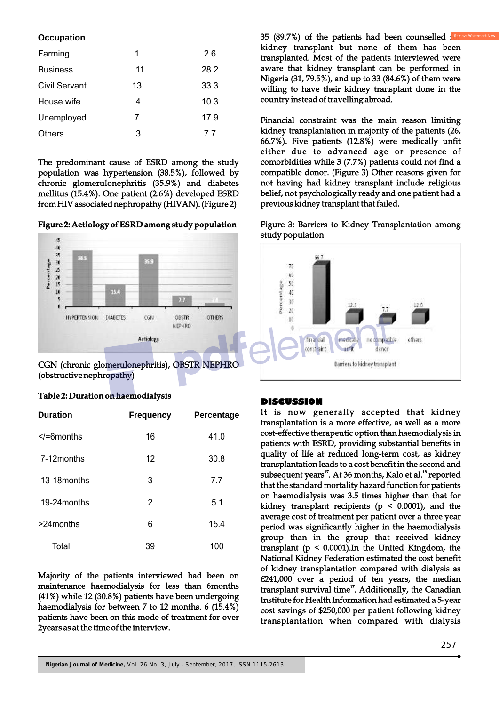**Occupation**

| Farming              | 1  | 2.6  |
|----------------------|----|------|
| <b>Business</b>      | 11 | 28.2 |
| <b>Civil Servant</b> | 13 | 33.3 |
| House wife           | 4  | 10.3 |
| Unemployed           | 7  | 17.9 |
| <b>Others</b>        | 3  | 7.7  |

The predominant cause of ESRD among the study population was hypertension (38.5%), followed by chronic glomerulonephritis (35.9%) and diabetes mellitus (15.4%). One patient (2.6%) developed ESRD from HIV associated nephropathy (HIVAN). (Figure 2)

**Figure 2: Aetiology of ESRD among study population**



CGN (chronic glomerulonephritis), OBSTR NEPHRO (obstructive nephropathy)

#### **Table 2: Duration on haemodialysis**

| Duration        | Frequency | Percentage |
|-----------------|-----------|------------|
| $\le$ /=6months | 16        | 41.0       |
| 7-12 months     | 12        | 30.8       |
| 13-18 months    | 3         | 7.7        |
| 19-24 months    | 2         | 5.1        |
| >24months       | 6         | 15.4       |
| Total           | 39        | 100        |

Majority of the patients interviewed had been on maintenance haemodialysis for less than 6months (41%) while 12 (30.8%) patients have been undergoing haemodialysis for between 7 to 12 months. 6 (15.4%) patients have been on this mode of treatment for over 2years as at the time of the interview.

35 (89.7%) of the patients had been counselled  $f_{\text{max}}$ kidney transplant but none of them has been transplanted. Most of the patients interviewed were aware that kidney transplant can be performed in Nigeria (31, 79.5%), and up to 33 (84.6%) of them were willing to have their kidney transplant done in the country instead of travelling abroad.

Financial constraint was the main reason limiting kidney transplantation in majority of the patients (26, 66.7%). Five patients (12.8%) were medically unfit either due to advanced age or presence of comorbidities while 3 (7.7%) patients could not find a compatible donor. (Figure 3) Other reasons given for not having had kidney transplant include religious belief, not psychologically ready and one patient had a previous kidney transplant that failed.

Figure 3: Barriers to Kidney Transplantation among study population



## **DISCUSSION**

It is now generally accepted that kidney transplantation is a more effective, as well as a more cost-effective therapeutic option than haemodialysis in patients with ESRD, providing substantial benefits in quality of life at reduced long-term cost, as kidney transplantation leads to a cost benefit in the second and subsequent years<sup> $17$ </sup>. At 36 months, Kalo et al.<sup>18</sup> reported that the standard mortality hazard function for patients on haemodialysis was 3.5 times higher than that for kidney transplant recipients ( $p < 0.0001$ ), and the average cost of treatment per patient over a three year period was significantly higher in the haemodialysis group than in the group that received kidney transplant (p < 0.0001).In the United Kingdom, the National Kidney Federation estimated the cost benefit of kidney transplantation compared with dialysis as £241,000 over a period of ten years, the median transplant survival time<sup>17</sup>. Additionally, the Canadian Institute for Health Information had estimated a 5-year cost savings of \$250,000 per patient following kidney transplantation when compared with dialysis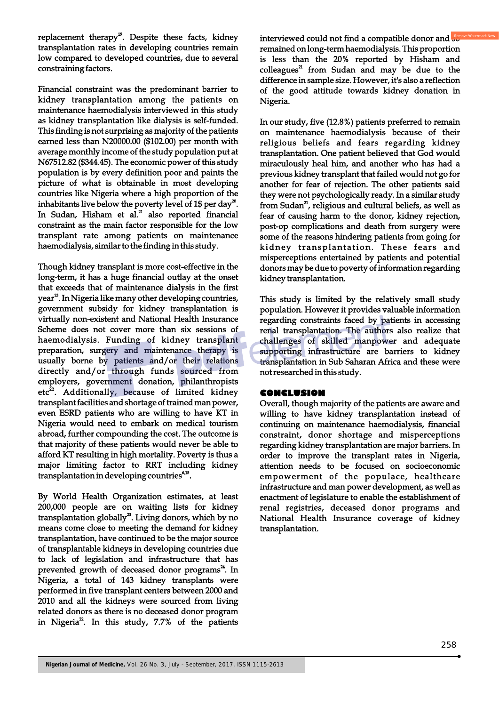replacement therapy<sup>19</sup>. Despite these facts, kidney transplantation rates in developing countries remain low compared to developed countries, due to several constraining factors.

Financial constraint was the predominant barrier to kidney transplantation among the patients on maintenance haemodialysis interviewed in this study as kidney transplantation like dialysis is self-funded. This finding is not surprising as majority of the patients earned less than N20000.00 (\$102.00) per month with average monthly income of the study population put at N67512.82 (\$344.45). The economic power of this study population is by every definition poor and paints the picture of what is obtainable in most developing countries like Nigeria where a high proportion of the inhabitants live below the poverty level of  $1\$  per day<sup>20</sup>. In Sudan, Hisham et al.<sup>21</sup> also reported financial constraint as the main factor responsible for the low transplant rate among patients on maintenance haemodialysis, similar to the finding in this study.

Though kidney transplant is more cost-effective in the long-term, it has a huge financial outlay at the onset that exceeds that of maintenance dialysis in the first year<sup>13</sup>. In Nigeria like many other developing countries, government subsidy for kidney transplantation is virtually non-existent and National Health Insurance Scheme does not cover more than six sessions of haemodialysis. Funding of kidney transplant preparation, surgery and maintenance therapy is usually borne by patients and/or their relations directly and/or through funds sourced from employers, government donation, philanthropists  $etc<sup>22</sup>$ . Additionally, because of limited kidney transplant facilities and shortage of trained man power, even ESRD patients who are willing to have KT in Nigeria would need to embark on medical tourism abroad, further compounding the cost. The outcome is that majority of these patients would never be able to afford KT resulting in high mortality. Poverty is thus a major limiting factor to RRT including kidney transplantation in developing countries<sup>6,15</sup>.

By World Health Organization estimates, at least 200,000 people are on waiting lists for kidney transplantation globally $^{23}$ . Living donors, which by no means come close to meeting the demand for kidney transplantation, have continued to be the major source of transplantable kidneys in developing countries due to lack of legislation and infrastructure that has prevented growth of deceased donor programs<sup>24</sup>. In Nigeria, a total of 143 kidney transplants were performed in five transplant centers between 2000 and 2010 and all the kidneys were sourced from living related donors as there is no deceased donor program in Nigeria<sup>2</sup>. In this study, 7.7% of the patients interviewed could not find a compatible donor and so remained on long-term haemodialysis. This proportion is less than the 20% reported by Hisham and  $\text{colleagues}^{21}$  from Sudan and may be due to the difference in sample size. However, it's also a reflection of the good attitude towards kidney donation in Nigeria.

In our study, five (12.8%) patients preferred to remain on maintenance haemodialysis because of their religious beliefs and fears regarding kidney transplantation. One patient believed that God would miraculously heal him, and another who has had a previous kidney transplant that failed would not go for another for fear of rejection. The other patients said they were not psychologically ready. In a similar study from Sudan<sup>21</sup>, religious and cultural beliefs, as well as fear of causing harm to the donor, kidney rejection, post-op complications and death from surgery were some of the reasons hindering patients from going for kidney transplantation. These fears and misperceptions entertained by patients and potential donors may be due to poverty of information regarding kidney transplantation.

This study is limited by the relatively small study population. However it provides valuable information regarding constraints faced by patients in accessing renal transplantation. The authors also realize that challenges of skilled manpower and adequate supporting infrastructure are barriers to kidney transplantation in Sub Saharan Africa and these were not researched in this study.

## **CONCLUSION**

Overall, though majority of the patients are aware and willing to have kidney transplantation instead of continuing on maintenance haemodialysis, financial constraint, donor shortage and misperceptions regarding kidney transplantation are major barriers. In order to improve the transplant rates in Nigeria, attention needs to be focused on socioeconomic empowerment of the populace, healthcare infrastructure and man power development, as well as enactment of legislature to enable the establishment of renal registries, deceased donor programs and National Health Insurance coverage of kidney transplantation.